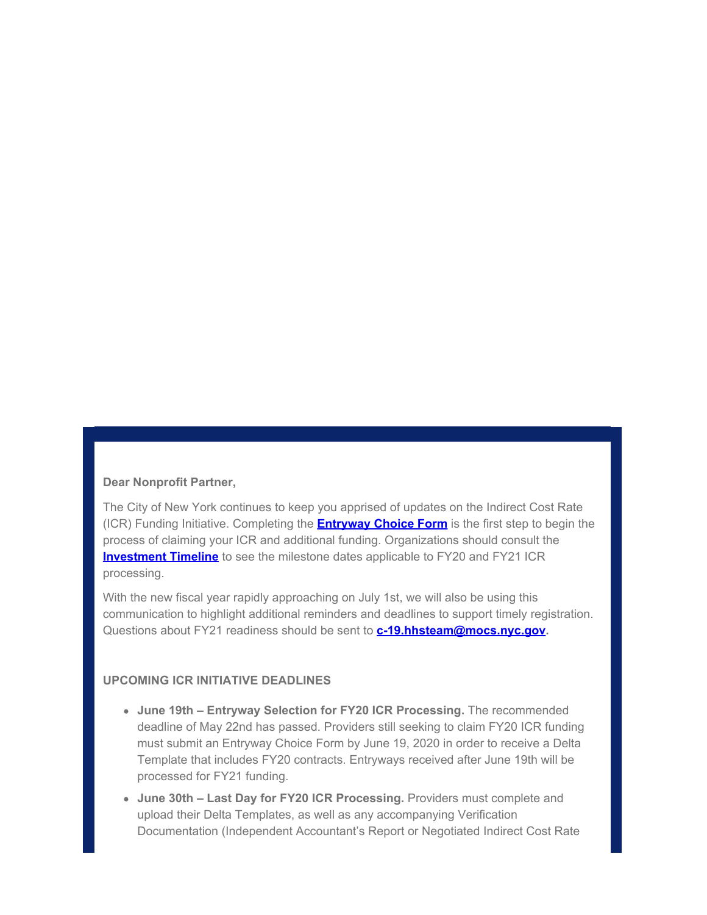#### **Dear Nonprofit Partner,**

The City of New York continues to keep you apprised of updates on the Indirect Cost Rate (ICR) Funding Initiative. Completing the **[Entryway Choice Form](https://gcc01.safelinks.protection.outlook.com/?url=https%3A%2F%2Fwww1.nyc.gov%2Fsite%2Fnonprofits%2Ffunded-providers%2Findirect-entryway-choice-form.page%3Futm_medium%3Demail%26utm_source%3Dgovdelivery&data=02%7C01%7Coluwa.small%40mocs.nyc.gov%7C3a8beddd50414866e50208d8019ee3a5%7C32f56fc75f814e22a95b15da66513bef%7C0%7C0%7C637261129334560283&sdata=RoLIzFXvx5sKrCUwabSkUAgOkd9%2FKehALpBzlO%2BxWl4%3D&reserved=0)** is the first step to begin the process of claiming your ICR and additional funding. Organizations should consult the **[Investment Timeline](https://gcc01.safelinks.protection.outlook.com/?url=https%3A%2F%2Fwww1.nyc.gov%2Fassets%2Fnonprofits%2Fdownloads%2Fpdf%2FInvestment%2520Timeline.pdf%3Futm_medium%3Demail%26utm_source%3Dgovdelivery&data=02%7C01%7Coluwa.small%40mocs.nyc.gov%7C3a8beddd50414866e50208d8019ee3a5%7C32f56fc75f814e22a95b15da66513bef%7C0%7C0%7C637261129334560283&sdata=3GXhVvkT%2FA8Z4OzqFPXFqk%2BfrjZh2MN2COHBvrz1OW0%3D&reserved=0)** to see the milestone dates applicable to FY20 and FY21 ICR processing.

With the new fiscal year rapidly approaching on July 1st, we will also be using this communication to highlight additional reminders and deadlines to support timely registration. Questions about FY21 readiness should be sent to **[c-19.hhsteam@mocs.nyc.gov](mailto:c-19.hhsteam@mocs.nyc.gov).**

# **UPCOMING ICR INITIATIVE DEADLINES**

- **June 19th Entryway Selection for FY20 ICR Processing.** The recommended deadline of May 22nd has passed. Providers still seeking to claim FY20 ICR funding must submit an Entryway Choice Form by June 19, 2020 in order to receive a Delta Template that includes FY20 contracts. Entryways received after June 19th will be processed for FY21 funding.
- **June 30th Last Day for FY20 ICR Processing.** Providers must complete and upload their Delta Templates, as well as any accompanying Verification Documentation (Independent Accountant's Report or Negotiated Indirect Cost Rate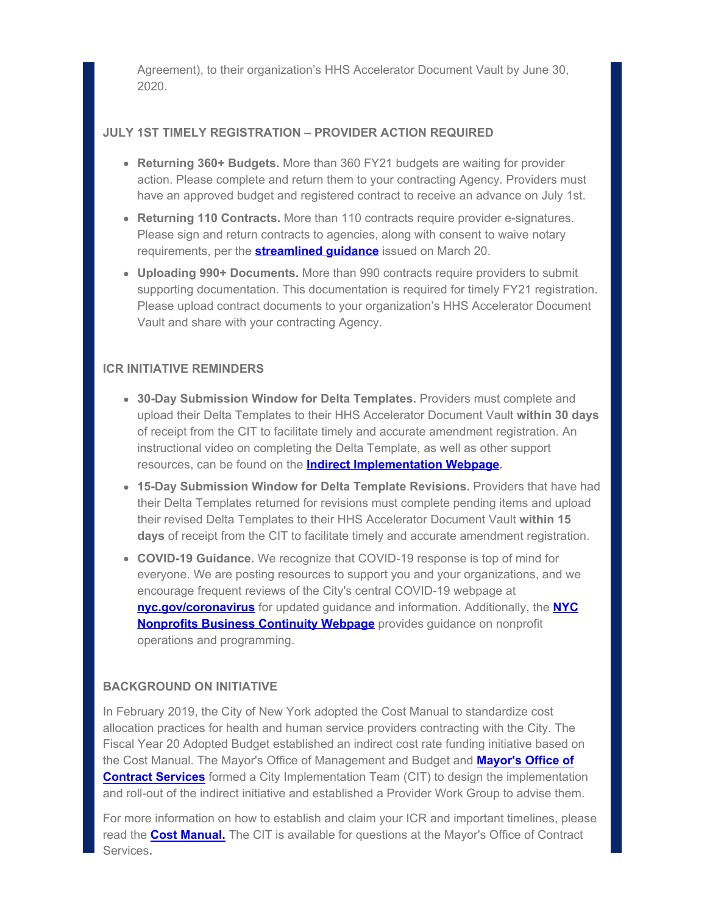Agreement), to their organization's HHS Accelerator Document Vault by June 30, 2020.

### **JULY 1ST TIMELY REGISTRATION – PROVIDER ACTION REQUIRED**

- **Returning 360+ Budgets.** More than 360 FY21 budgets are waiting for provider action. Please complete and return them to your contracting Agency. Providers must have an approved budget and registered contract to receive an advance on July 1st.
- **Returning 110 Contracts.** More than 110 contracts require provider e-signatures. Please sign and return contracts to agencies, along with consent to waive notary requirements, per the **[streamlined guidance](https://gcc01.safelinks.protection.outlook.com/?url=https%3A%2F%2Fwww1.nyc.gov%2Fassets%2Fdoh%2Fdownloads%2Fpdf%2Fimm%2Fcovid-letter-to-human-service-providers.pdf%3Futm_medium%3Demail%26utm_source%3Dgovdelivery&data=02%7C01%7Coluwa.small%40mocs.nyc.gov%7C3a8beddd50414866e50208d8019ee3a5%7C32f56fc75f814e22a95b15da66513bef%7C0%7C0%7C637261129334570235&sdata=hQ%2Ff6UwQO9F6EA77GmibEAIBuI%2Fbn8gbtMK2E%2B%2B7V%2BQ%3D&reserved=0)** issued on March 20.
- **Uploading 990+ Documents.** More than 990 contracts require providers to submit supporting documentation. This documentation is required for timely FY21 registration. Please upload contract documents to your organization's HHS Accelerator Document Vault and share with your contracting Agency.

# **ICR INITIATIVE REMINDERS**

- **30-Day Submission Window for Delta Templates.** Providers must complete and upload their Delta Templates to their HHS Accelerator Document Vault **within 30 days** of receipt from the CIT to facilitate timely and accurate amendment registration. An instructional video on completing the Delta Template, as well as other support resources, can be found on the **[Indirect Implementation Webpage](https://gcc01.safelinks.protection.outlook.com/?url=https%3A%2F%2Fwww1.nyc.gov%2Fsite%2Fnonprofits%2Ffunded-providers%2Findirect-implementation.page%3Futm_medium%3Demail%26utm_source%3Dgovdelivery&data=02%7C01%7Coluwa.small%40mocs.nyc.gov%7C3a8beddd50414866e50208d8019ee3a5%7C32f56fc75f814e22a95b15da66513bef%7C0%7C0%7C637261129334570235&sdata=C9yfFUWQU264HX5i%2Ba2RFUAsq3AIrZABJpNnN2FiL2g%3D&reserved=0).**
- **15-Day Submission Window for Delta Template Revisions.** Providers that have had their Delta Templates returned for revisions must complete pending items and upload their revised Delta Templates to their HHS Accelerator Document Vault **within 15 days** of receipt from the CIT to facilitate timely and accurate amendment registration.
- **COVID-19 Guidance.** We recognize that COVID-19 response is top of mind for everyone. We are posting resources to support you and your organizations, and we encourage frequent reviews of the City's central COVID-19 webpage at **[nyc.gov/coronavirus](https://gcc01.safelinks.protection.outlook.com/?url=https%3A%2F%2Fwww1.nyc.gov%2Fsite%2Fdoh%2Fcovid%2Fcovid-19-main.page%3Futm_medium%3Demail%26utm_source%3Dgovdelivery&data=02%7C01%7Coluwa.small%40mocs.nyc.gov%7C3a8beddd50414866e50208d8019ee3a5%7C32f56fc75f814e22a95b15da66513bef%7C0%7C0%7C637261129334570235&sdata=a1Bp0wJB3hMa%2BGHX11VMME74qSDNM%2FBEEPxHW6skU9w%3D&reserved=0)** for updated guidance and information. Additionally, the **[NYC](https://gcc01.safelinks.protection.outlook.com/?url=https%3A%2F%2Fwww1.nyc.gov%2Fsite%2Fnonprofits%2Ffunded-providers%2Ffunded-providers.page%3Futm_medium%3Demail%26utm_source%3Dgovdelivery&data=02%7C01%7Coluwa.small%40mocs.nyc.gov%7C3a8beddd50414866e50208d8019ee3a5%7C32f56fc75f814e22a95b15da66513bef%7C0%7C0%7C637261129334580192&sdata=DeQzMEkg6Zf9Osy1kxUEgNdtAWwj8zv2FKPTynjJUCU%3D&reserved=0) [Nonprofits Business Continuity Webpage](https://gcc01.safelinks.protection.outlook.com/?url=https%3A%2F%2Fwww1.nyc.gov%2Fsite%2Fnonprofits%2Ffunded-providers%2Ffunded-providers.page%3Futm_medium%3Demail%26utm_source%3Dgovdelivery&data=02%7C01%7Coluwa.small%40mocs.nyc.gov%7C3a8beddd50414866e50208d8019ee3a5%7C32f56fc75f814e22a95b15da66513bef%7C0%7C0%7C637261129334580192&sdata=DeQzMEkg6Zf9Osy1kxUEgNdtAWwj8zv2FKPTynjJUCU%3D&reserved=0)** provides guidance on nonprofit operations and programming.

# **BACKGROUND ON INITIATIVE**

In February 2019, the City of New York adopted the Cost Manual to standardize cost allocation practices for health and human service providers contracting with the City. The Fiscal Year 20 Adopted Budget established an indirect cost rate funding initiative based on the Cost Manual. The Mayor's Office of Management and Budget and **[Mayor's Office of](https://gcc01.safelinks.protection.outlook.com/?url=https%3A%2F%2Fwww1.nyc.gov%2Fsite%2Fmocs%2Findex.page%3Futm_medium%3Demail%26utm_source%3Dgovdelivery&data=02%7C01%7Coluwa.small%40mocs.nyc.gov%7C3a8beddd50414866e50208d8019ee3a5%7C32f56fc75f814e22a95b15da66513bef%7C0%7C0%7C637261129334580192&sdata=JA8CnaTjTSDRSqUcC4aQVcIs%2Ba7qV2VY8fbzRDjDR7s%3D&reserved=0) [Contract Services](https://gcc01.safelinks.protection.outlook.com/?url=https%3A%2F%2Fwww1.nyc.gov%2Fsite%2Fmocs%2Findex.page%3Futm_medium%3Demail%26utm_source%3Dgovdelivery&data=02%7C01%7Coluwa.small%40mocs.nyc.gov%7C3a8beddd50414866e50208d8019ee3a5%7C32f56fc75f814e22a95b15da66513bef%7C0%7C0%7C637261129334580192&sdata=JA8CnaTjTSDRSqUcC4aQVcIs%2Ba7qV2VY8fbzRDjDR7s%3D&reserved=0)** formed a City Implementation Team (CIT) to design the implementation and roll-out of the indirect initiative and established a Provider Work Group to advise them.

For more information on how to establish and claim your ICR and important timelines, please read the **[Cost Manual.](https://gcc01.safelinks.protection.outlook.com/?url=https%3A%2F%2Fwww1.nyc.gov%2Fassets%2Fnonprofits%2Fdownloads%2Fpdf%2FNYC%2520HHS%2520Cost%2520Policies%2520and%2520Procedures%2520Manual.pdf%3Futm_medium%3Demail%26utm_source%3Dgovdelivery&data=02%7C01%7Coluwa.small%40mocs.nyc.gov%7C3a8beddd50414866e50208d8019ee3a5%7C32f56fc75f814e22a95b15da66513bef%7C0%7C0%7C637261129334590147&sdata=d2%2BdslrKBa4c1UZI9LtE6nhqd9XjAI%2BFNk29o3g%2Fm3o%3D&reserved=0)** The CIT is available for questions at the Mayor's Office of Contract Services**.**